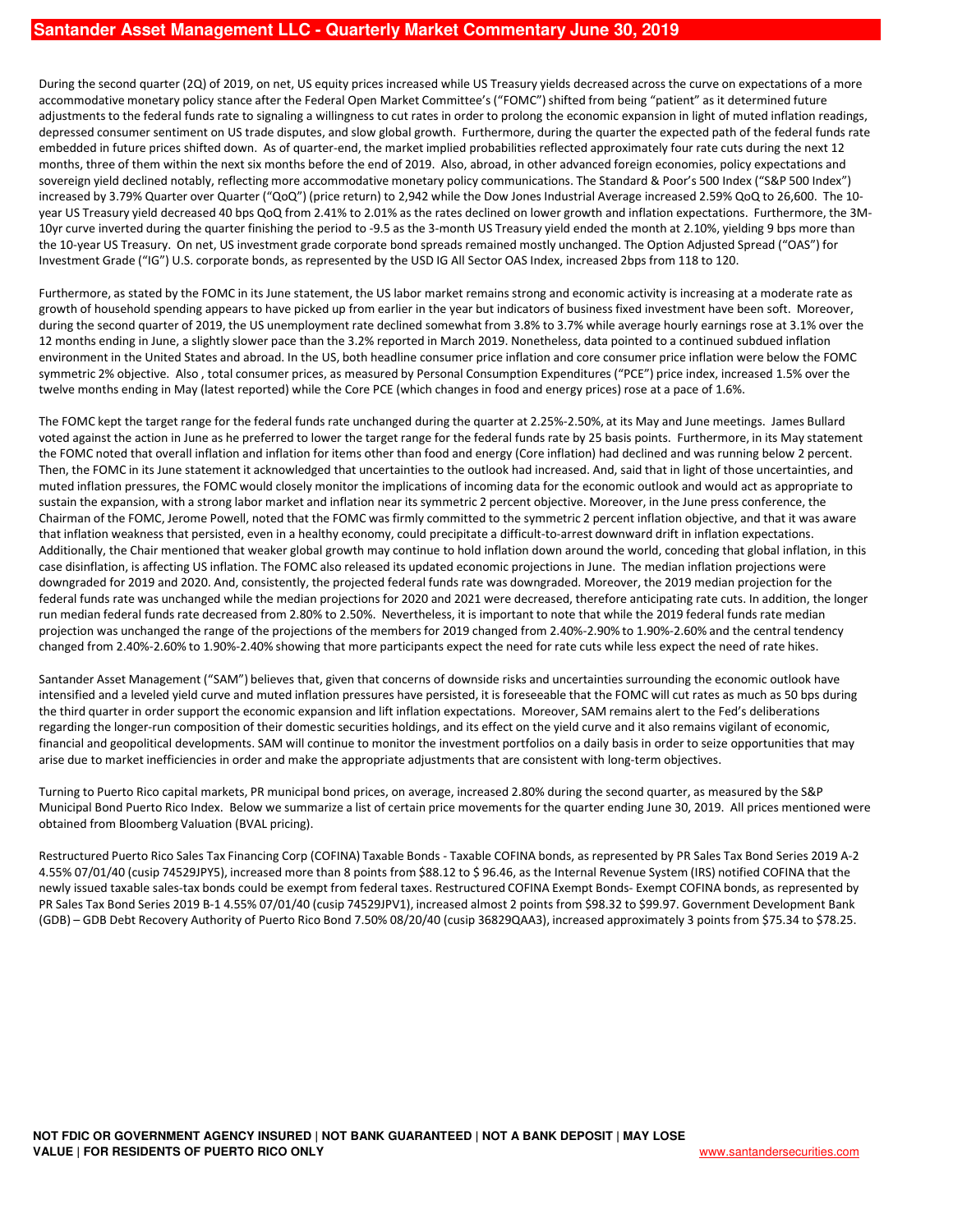During the second quarter (2Q) of 2019, on net, US equity prices increased while US Treasury yields decreased across the curve on expectations of a more accommodative monetary policy stance after the Federal Open Market Committee's ("FOMC") shifted from being "patient" as it determined future adjustments to the federal funds rate to signaling a willingness to cut rates in order to prolong the economic expansion in light of muted inflation readings, depressed consumer sentiment on US trade disputes, and slow global growth. Furthermore, during the quarter the expected path of the federal funds rate embedded in future prices shifted down. As of quarter-end, the market implied probabilities reflected approximately four rate cuts during the next 12 months, three of them within the next six months before the end of 2019. Also, abroad, in other advanced foreign economies, policy expectations and sovereign yield declined notably, reflecting more accommodative monetary policy communications. The Standard & Poor's 500 Index ("S&P 500 Index") increased by 3.79% Quarter over Quarter ("QoQ") (price return) to 2,942 while the Dow Jones Industrial Average increased 2.59% QoQ to 26,600. The 10 year US Treasury yield decreased 40 bps QoQ from 2.41% to 2.01% as the rates declined on lower growth and inflation expectations. Furthermore, the 3M-10yr curve inverted during the quarter finishing the period to -9.5 as the 3-month US Treasury yield ended the month at 2.10%, yielding 9 bps more than the 10-year US Treasury. On net, US investment grade corporate bond spreads remained mostly unchanged. The Option Adjusted Spread ("OAS") for Investment Grade ("IG") U.S. corporate bonds, as represented by the USD IG All Sector OAS Index, increased 2bps from 118 to 120.

Furthermore, as stated by the FOMC in its June statement, the US labor market remains strong and economic activity is increasing at a moderate rate as growth of household spending appears to have picked up from earlier in the year but indicators of business fixed investment have been soft. Moreover, during the second quarter of 2019, the US unemployment rate declined somewhat from 3.8% to 3.7% while average hourly earnings rose at 3.1% over the 12 months ending in June, a slightly slower pace than the 3.2% reported in March 2019. Nonetheless, data pointed to a continued subdued inflation environment in the United States and abroad. In the US, both headline consumer price inflation and core consumer price inflation were below the FOMC symmetric 2% objective. Also , total consumer prices, as measured by Personal Consumption Expenditures ("PCE") price index, increased 1.5% over the twelve months ending in May (latest reported) while the Core PCE (which changes in food and energy prices) rose at a pace of 1.6%.

The FOMC kept the target range for the federal funds rate unchanged during the quarter at 2.25%-2.50%, at its May and June meetings. James Bullard voted against the action in June as he preferred to lower the target range for the federal funds rate by 25 basis points. Furthermore, in its May statement the FOMC noted that overall inflation and inflation for items other than food and energy (Core inflation) had declined and was running below 2 percent. Then, the FOMC in its June statement it acknowledged that uncertainties to the outlook had increased. And, said that in light of those uncertainties, and muted inflation pressures, the FOMC would closely monitor the implications of incoming data for the economic outlook and would act as appropriate to sustain the expansion, with a strong labor market and inflation near its symmetric 2 percent objective. Moreover, in the June press conference, the Chairman of the FOMC, Jerome Powell, noted that the FOMC was firmly committed to the symmetric 2 percent inflation objective, and that it was aware that inflation weakness that persisted, even in a healthy economy, could precipitate a difficult-to-arrest downward drift in inflation expectations. Additionally, the Chair mentioned that weaker global growth may continue to hold inflation down around the world, conceding that global inflation, in this case disinflation, is affecting US inflation. The FOMC also released its updated economic projections in June. The median inflation projections were downgraded for 2019 and 2020. And, consistently, the projected federal funds rate was downgraded. Moreover, the 2019 median projection for the federal funds rate was unchanged while the median projections for 2020 and 2021 were decreased, therefore anticipating rate cuts. In addition, the longer run median federal funds rate decreased from 2.80% to 2.50%. Nevertheless, it is important to note that while the 2019 federal funds rate median projection was unchanged the range of the projections of the members for 2019 changed from 2.40%-2.90% to 1.90%-2.60% and the central tendency changed from 2.40%-2.60% to 1.90%-2.40% showing that more participants expect the need for rate cuts while less expect the need of rate hikes.

Santander Asset Management ("SAM") believes that, given that concerns of downside risks and uncertainties surrounding the economic outlook have intensified and a leveled yield curve and muted inflation pressures have persisted, it is foreseeable that the FOMC will cut rates as much as 50 bps during the third quarter in order support the economic expansion and lift inflation expectations. Moreover, SAM remains alert to the Fed's deliberations regarding the longer-run composition of their domestic securities holdings, and its effect on the yield curve and it also remains vigilant of economic, financial and geopolitical developments. SAM will continue to monitor the investment portfolios on a daily basis in order to seize opportunities that may arise due to market inefficiencies in order and make the appropriate adjustments that are consistent with long-term objectives.

Turning to Puerto Rico capital markets, PR municipal bond prices, on average, increased 2.80% during the second quarter, as measured by the S&P Municipal Bond Puerto Rico Index. Below we summarize a list of certain price movements for the quarter ending June 30, 2019. All prices mentioned were obtained from Bloomberg Valuation (BVAL pricing).

Restructured Puerto Rico Sales Tax Financing Corp (COFINA) Taxable Bonds - Taxable COFINA bonds, as represented by PR Sales Tax Bond Series 2019 A-2 4.55% 07/01/40 (cusip 74529JPY5), increased more than 8 points from \$88.12 to \$ 96.46, as the Internal Revenue System (IRS) notified COFINA that the newly issued taxable sales-tax bonds could be exempt from federal taxes. Restructured COFINA Exempt Bonds- Exempt COFINA bonds, as represented by PR Sales Tax Bond Series 2019 B-1 4.55% 07/01/40 (cusip 74529JPV1), increased almost 2 points from \$98.32 to \$99.97. Government Development Bank (GDB) – GDB Debt Recovery Authority of Puerto Rico Bond 7.50% 08/20/40 (cusip 36829QAA3), increased approximately 3 points from \$75.34 to \$78.25.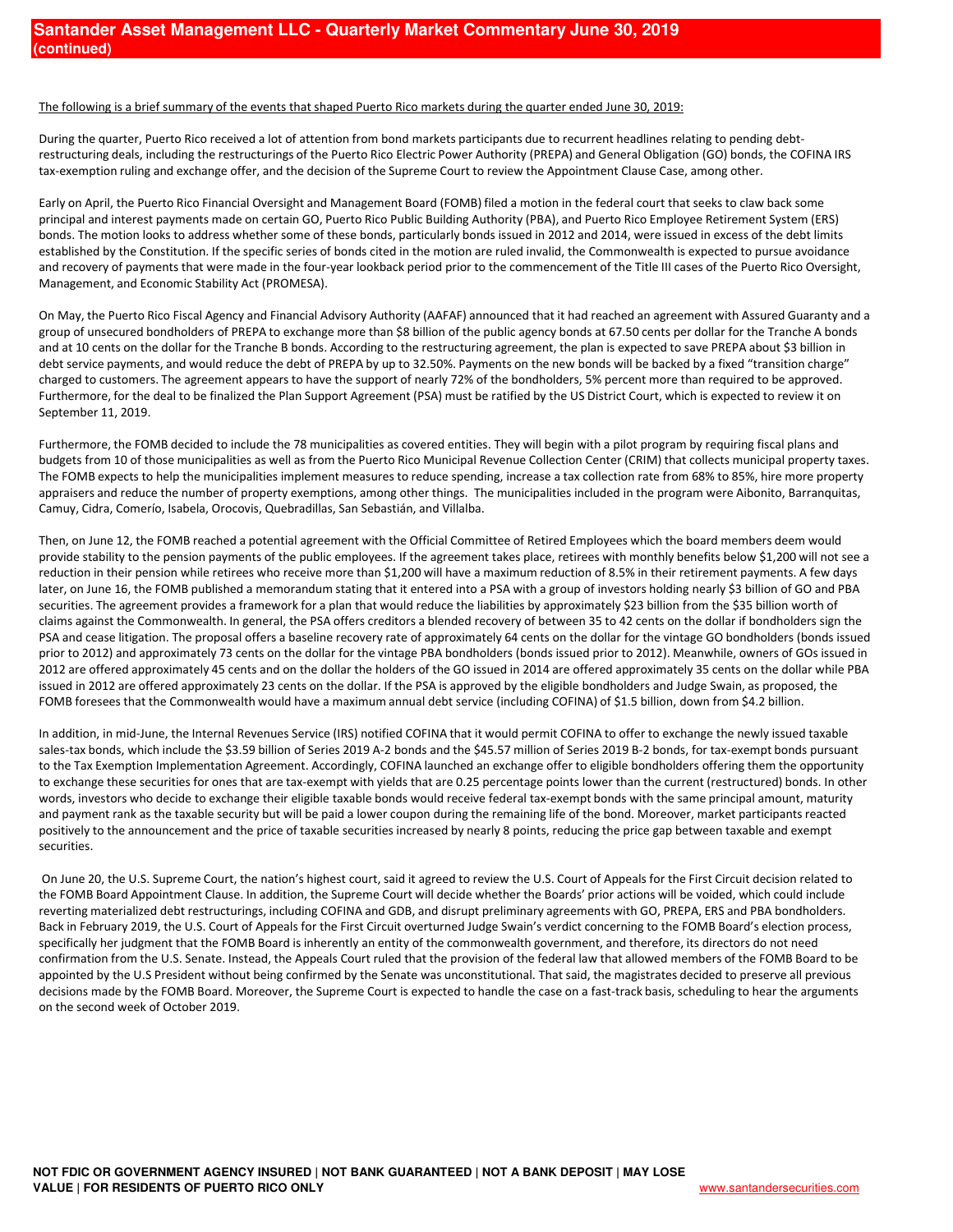## The following is a brief summary of the events that shaped Puerto Rico markets during the quarter ended June 30, 2019:

During the quarter, Puerto Rico received a lot of attention from bond markets participants due to recurrent headlines relating to pending debtrestructuring deals, including the restructurings of the Puerto Rico Electric Power Authority (PREPA) and General Obligation (GO) bonds, the COFINA IRS tax-exemption ruling and exchange offer, and the decision of the Supreme Court to review the Appointment Clause Case, among other.

Early on April, the Puerto Rico Financial Oversight and Management Board (FOMB) filed a motion in the federal court that seeks to claw back some principal and interest payments made on certain GO, Puerto Rico Public Building Authority (PBA), and Puerto Rico Employee Retirement System (ERS) bonds. The motion looks to address whether some of these bonds, particularly bonds issued in 2012 and 2014, were issued in excess of the debt limits established by the Constitution. If the specific series of bonds cited in the motion are ruled invalid, the Commonwealth is expected to pursue avoidance and recovery of payments that were made in the four-year lookback period prior to the commencement of the Title III cases of the Puerto Rico Oversight, Management, and Economic Stability Act (PROMESA).

On May, the Puerto Rico Fiscal Agency and Financial Advisory Authority (AAFAF) announced that it had reached an agreement with Assured Guaranty and a group of unsecured bondholders of PREPA to exchange more than \$8 billion of the public agency bonds at 67.50 cents per dollar for the Tranche A bonds and at 10 cents on the dollar for the Tranche B bonds. According to the restructuring agreement, the plan is expected to save PREPA about \$3 billion in debt service payments, and would reduce the debt of PREPA by up to 32.50%. Payments on the new bonds will be backed by a fixed "transition charge" charged to customers. The agreement appears to have the support of nearly 72% of the bondholders, 5% percent more than required to be approved. Furthermore, for the deal to be finalized the Plan Support Agreement (PSA) must be ratified by the US District Court, which is expected to review it on September 11, 2019.

Furthermore, the FOMB decided to include the 78 municipalities as covered entities. They will begin with a pilot program by requiring fiscal plans and budgets from 10 of those municipalities as well as from the Puerto Rico Municipal Revenue Collection Center (CRIM) that collects municipal property taxes. The FOMB expects to help the municipalities implement measures to reduce spending, increase a tax collection rate from 68% to 85%, hire more property appraisers and reduce the number of property exemptions, among other things. The municipalities included in the program were Aibonito, Barranquitas, Camuy, Cidra, Comerío, Isabela, Orocovis, Quebradillas, San Sebastián, and Villalba.

Then, on June 12, the FOMB reached a potential agreement with the Official Committee of Retired Employees which the board members deem would provide stability to the pension payments of the public employees. If the agreement takes place, retirees with monthly benefits below \$1,200 will not see a reduction in their pension while retirees who receive more than \$1,200 will have a maximum reduction of 8.5% in their retirement payments. A few days later, on June 16, the FOMB published a memorandum stating that it entered into a PSA with a group of investors holding nearly \$3 billion of GO and PBA securities. The agreement provides a framework for a plan that would reduce the liabilities by approximately \$23 billion from the \$35 billion worth of claims against the Commonwealth. In general, the PSA offers creditors a blended recovery of between 35 to 42 cents on the dollar if bondholders sign the PSA and cease litigation. The proposal offers a baseline recovery rate of approximately 64 cents on the dollar for the vintage GO bondholders (bonds issued prior to 2012) and approximately 73 cents on the dollar for the vintage PBA bondholders (bonds issued prior to 2012). Meanwhile, owners of GOs issued in 2012 are offered approximately 45 cents and on the dollar the holders of the GO issued in 2014 are offered approximately 35 cents on the dollar while PBA issued in 2012 are offered approximately 23 cents on the dollar. If the PSA is approved by the eligible bondholders and Judge Swain, as proposed, the FOMB foresees that the Commonwealth would have a maximum annual debt service (including COFINA) of \$1.5 billion, down from \$4.2 billion.

In addition, in mid-June, the Internal Revenues Service (IRS) notified COFINA that it would permit COFINA to offer to exchange the newly issued taxable sales-tax bonds, which include the \$3.59 billion of Series 2019 A-2 bonds and the \$45.57 million of Series 2019 B-2 bonds, for tax-exempt bonds pursuant to the Tax Exemption Implementation Agreement. Accordingly, COFINA launched an exchange offer to eligible bondholders offering them the opportunity to exchange these securities for ones that are tax-exempt with yields that are 0.25 percentage points lower than the current (restructured) bonds. In other words, investors who decide to exchange their eligible taxable bonds would receive federal tax-exempt bonds with the same principal amount, maturity and payment rank as the taxable security but will be paid a lower coupon during the remaining life of the bond. Moreover, market participants reacted positively to the announcement and the price of taxable securities increased by nearly 8 points, reducing the price gap between taxable and exempt securities.

On June 20, the U.S. Supreme Court, the nation's highest court, said it agreed to review the U.S. Court of Appeals for the First Circuit decision related to the FOMB Board Appointment Clause. In addition, the Supreme Court will decide whether the Boards' prior actions will be voided, which could include reverting materialized debt restructurings, including COFINA and GDB, and disrupt preliminary agreements with GO, PREPA, ERS and PBA bondholders. Back in February 2019, the U.S. Court of Appeals for the First Circuit overturned Judge Swain's verdict concerning to the FOMB Board's election process, specifically her judgment that the FOMB Board is inherently an entity of the commonwealth government, and therefore, its directors do not need confirmation from the U.S. Senate. Instead, the Appeals Court ruled that the provision of the federal law that allowed members of the FOMB Board to be appointed by the U.S President without being confirmed by the Senate was unconstitutional. That said, the magistrates decided to preserve all previous decisions made by the FOMB Board. Moreover, the Supreme Court is expected to handle the case on a fast-track basis, scheduling to hear the arguments on the second week of October 2019.